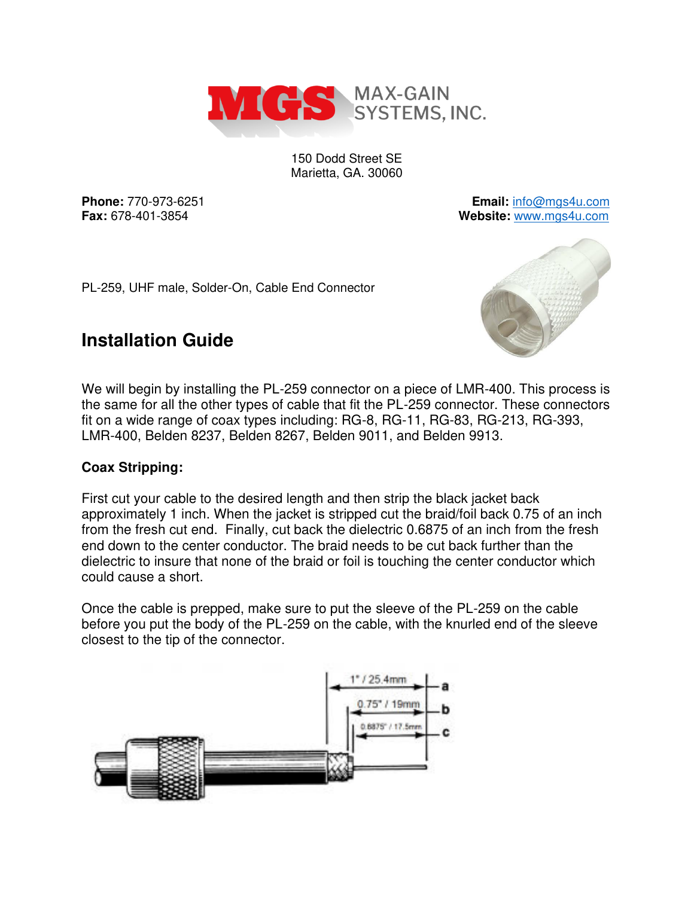

150 Dodd Street SE Marietta, GA. 30060

**Phone:** 770-973-6251 **Email:** [info@mgs4u.com](mailto:info@mgs4u.com) **Fax:** 678-401-3854 **Website:** [www.mgs4u.com](http://www.mgs4u.com/)

PL-259, UHF male, Solder-On, Cable End Connector



# **Installation Guide**

We will begin by installing the PL-259 connector on a piece of LMR-400. This process is the same for all the other types of cable that fit the PL-259 connector. These connectors fit on a wide range of coax types including: RG-8, RG-11, RG-83, RG-213, RG-393, LMR-400, Belden 8237, Belden 8267, Belden 9011, and Belden 9913.

## **Coax Stripping:**

First cut your cable to the desired length and then strip the black jacket back approximately 1 inch. When the jacket is stripped cut the braid/foil back 0.75 of an inch from the fresh cut end. Finally, cut back the dielectric 0.6875 of an inch from the fresh end down to the center conductor. The braid needs to be cut back further than the dielectric to insure that none of the braid or foil is touching the center conductor which could cause a short.

Once the cable is prepped, make sure to put the sleeve of the PL-259 on the cable before you put the body of the PL-259 on the cable, with the knurled end of the sleeve closest to the tip of the connector.

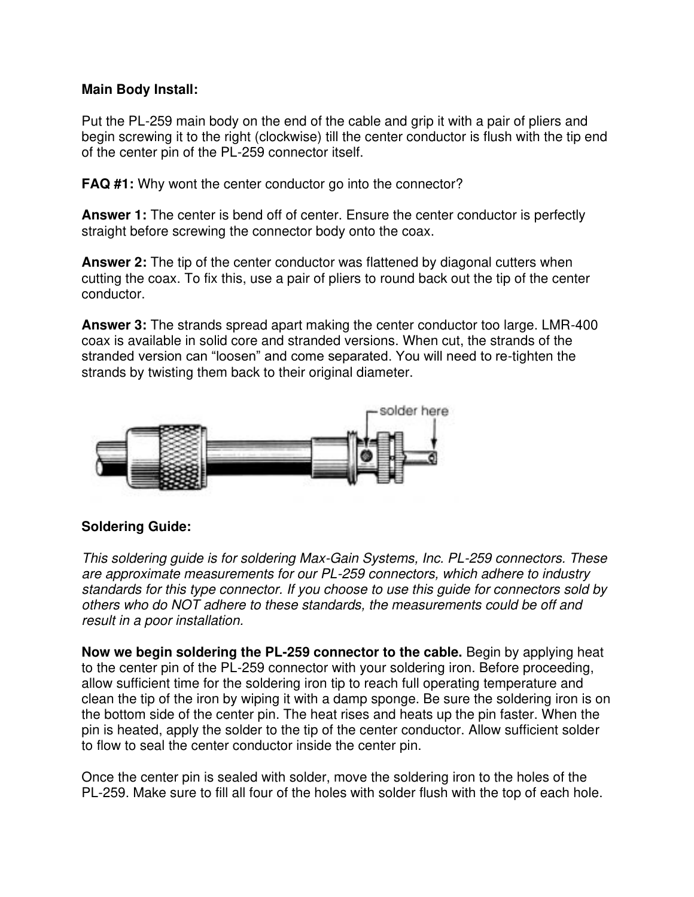#### **Main Body Install:**

Put the PL-259 main body on the end of the cable and grip it with a pair of pliers and begin screwing it to the right (clockwise) till the center conductor is flush with the tip end of the center pin of the PL-259 connector itself.

**FAQ #1:** Why wont the center conductor go into the connector?

**Answer 1:** The center is bend off of center. Ensure the center conductor is perfectly straight before screwing the connector body onto the coax.

**Answer 2:** The tip of the center conductor was flattened by diagonal cutters when cutting the coax. To fix this, use a pair of pliers to round back out the tip of the center conductor.

**Answer 3:** The strands spread apart making the center conductor too large. LMR-400 coax is available in solid core and stranded versions. When cut, the strands of the stranded version can "loosen" and come separated. You will need to re-tighten the strands by twisting them back to their original diameter.



## **Soldering Guide:**

This soldering guide is for soldering Max-Gain Systems, Inc. PL-259 connectors. These are approximate measurements for our PL-259 connectors, which adhere to industry standards for this type connector. If you choose to use this guide for connectors sold by others who do NOT adhere to these standards, the measurements could be off and result in a poor installation.

**Now we begin soldering the PL-259 connector to the cable.** Begin by applying heat to the center pin of the PL-259 connector with your soldering iron. Before proceeding, allow sufficient time for the soldering iron tip to reach full operating temperature and clean the tip of the iron by wiping it with a damp sponge. Be sure the soldering iron is on the bottom side of the center pin. The heat rises and heats up the pin faster. When the pin is heated, apply the solder to the tip of the center conductor. Allow sufficient solder to flow to seal the center conductor inside the center pin.

Once the center pin is sealed with solder, move the soldering iron to the holes of the PL-259. Make sure to fill all four of the holes with solder flush with the top of each hole.